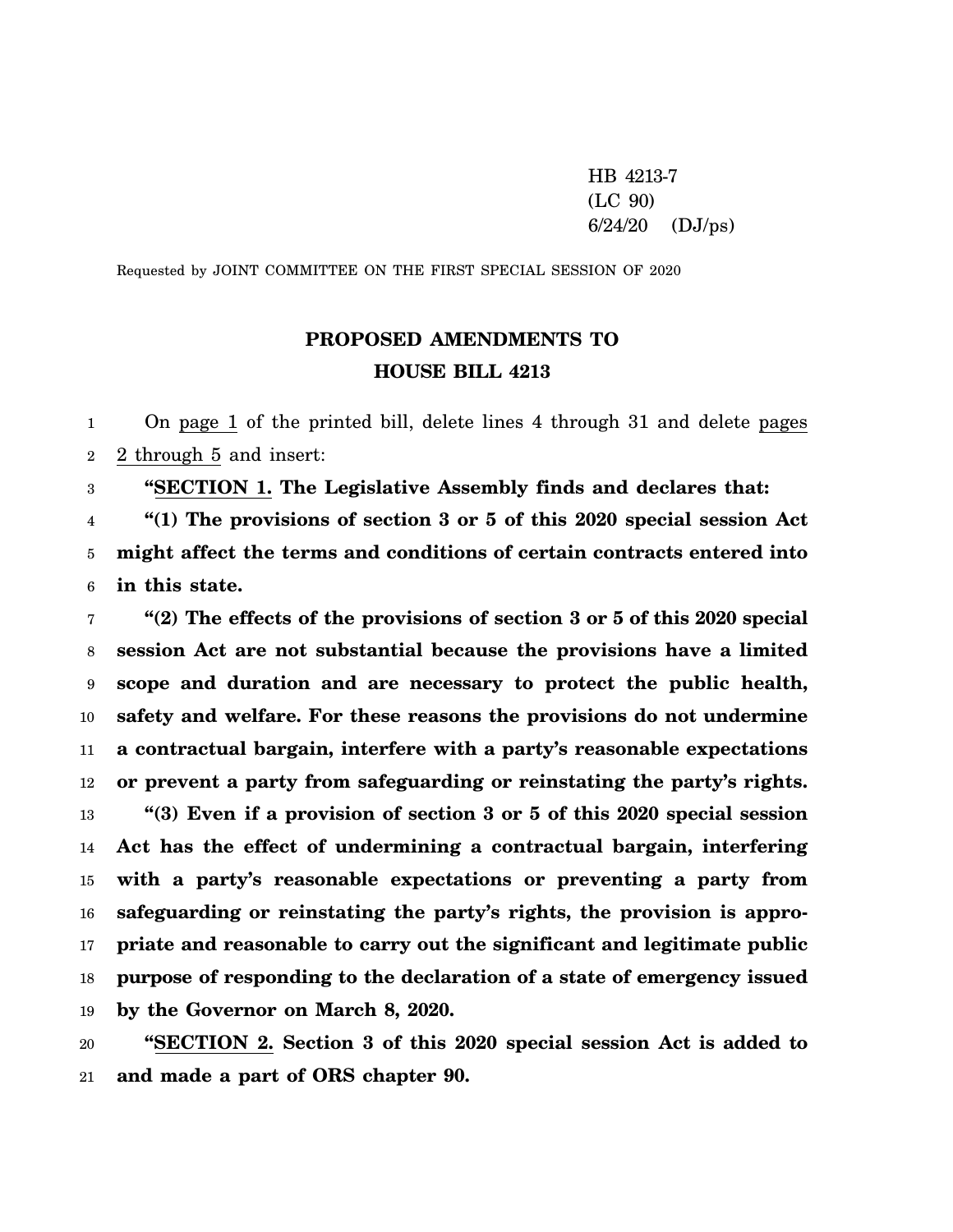HB 4213-7 (LC 90)  $6/24/20$  (DJ/ps)

Requested by JOINT COMMITTEE ON THE FIRST SPECIAL SESSION OF 2020

## **PROPOSED AMENDMENTS TO HOUSE BILL 4213**

1 2 On page 1 of the printed bill, delete lines 4 through 31 and delete pages 2 through 5 and insert:

3 **"SECTION 1. The Legislative Assembly finds and declares that:**

4 5 6 **"(1) The provisions of section 3 or 5 of this 2020 special session Act might affect the terms and conditions of certain contracts entered into in this state.**

7 8 9 10 11 12 13 14 15 16 17 18 19 **"(2) The effects of the provisions of section 3 or 5 of this 2020 special session Act are not substantial because the provisions have a limited scope and duration and are necessary to protect the public health, safety and welfare. For these reasons the provisions do not undermine a contractual bargain, interfere with a party's reasonable expectations or prevent a party from safeguarding or reinstating the party's rights. "(3) Even if a provision of section 3 or 5 of this 2020 special session Act has the effect of undermining a contractual bargain, interfering with a party's reasonable expectations or preventing a party from safeguarding or reinstating the party's rights, the provision is appropriate and reasonable to carry out the significant and legitimate public purpose of responding to the declaration of a state of emergency issued by the Governor on March 8, 2020.**

20 21 **"SECTION 2. Section 3 of this 2020 special session Act is added to and made a part of ORS chapter 90.**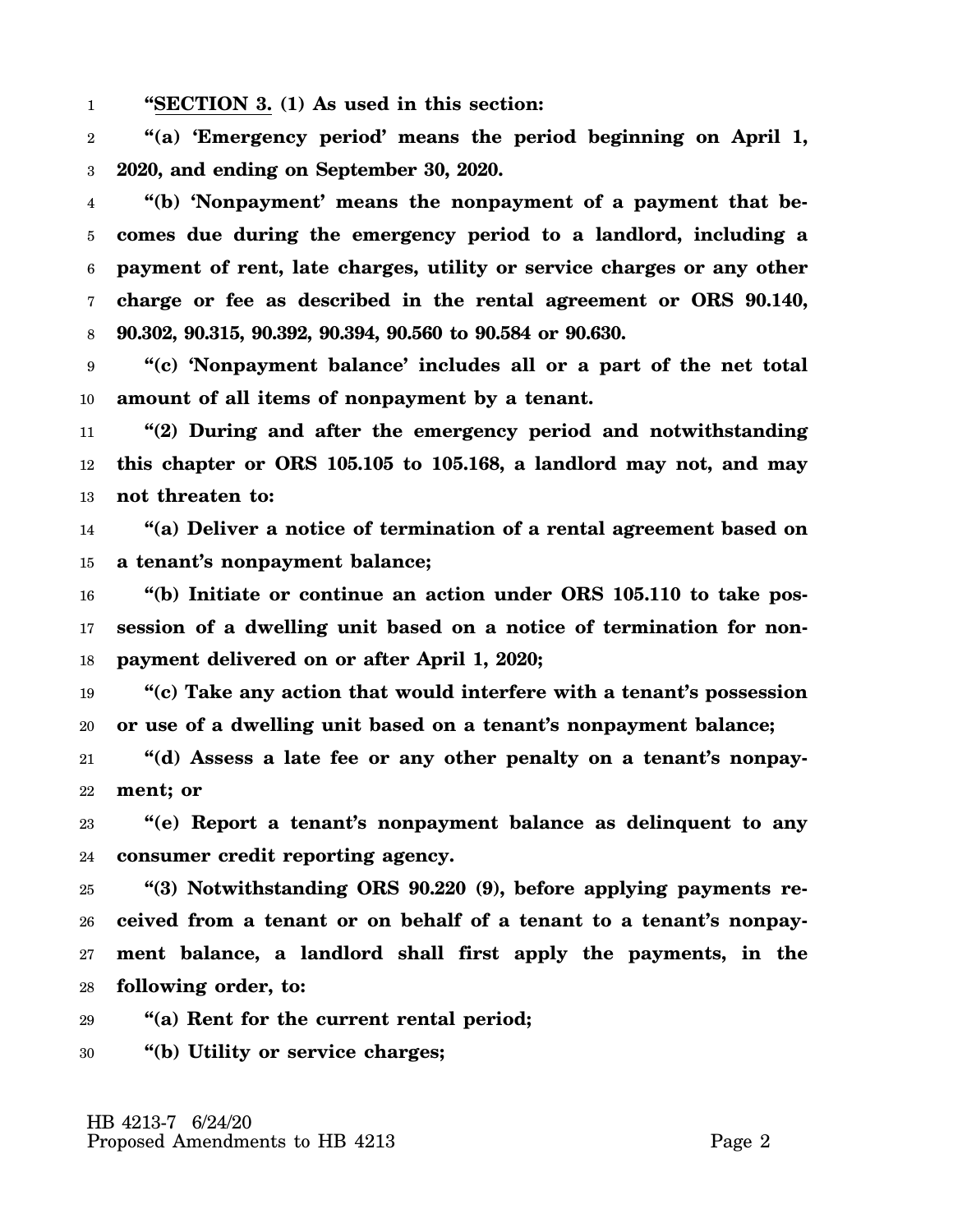1 **"SECTION 3. (1) As used in this section:**

2 3 **"(a) 'Emergency period' means the period beginning on April 1, 2020, and ending on September 30, 2020.**

4 5 6 7 8 **"(b) 'Nonpayment' means the nonpayment of a payment that becomes due during the emergency period to a landlord, including a payment of rent, late charges, utility or service charges or any other charge or fee as described in the rental agreement or ORS 90.140, 90.302, 90.315, 90.392, 90.394, 90.560 to 90.584 or 90.630.**

9 10 **"(c) 'Nonpayment balance' includes all or a part of the net total amount of all items of nonpayment by a tenant.**

11 12 13 **"(2) During and after the emergency period and notwithstanding this chapter or ORS 105.105 to 105.168, a landlord may not, and may not threaten to:**

14 15 **"(a) Deliver a notice of termination of a rental agreement based on a tenant's nonpayment balance;**

16 17 18 **"(b) Initiate or continue an action under ORS 105.110 to take possession of a dwelling unit based on a notice of termination for nonpayment delivered on or after April 1, 2020;**

19 20 **"(c) Take any action that would interfere with a tenant's possession or use of a dwelling unit based on a tenant's nonpayment balance;**

21 22 **"(d) Assess a late fee or any other penalty on a tenant's nonpayment; or**

23 24 **"(e) Report a tenant's nonpayment balance as delinquent to any consumer credit reporting agency.**

25 26 27 28 **"(3) Notwithstanding ORS 90.220 (9), before applying payments received from a tenant or on behalf of a tenant to a tenant's nonpayment balance, a landlord shall first apply the payments, in the following order, to:**

29 **"(a) Rent for the current rental period;**

30 **"(b) Utility or service charges;**

 HB 4213-7 6/24/20 Proposed Amendments to HB 4213 Page 2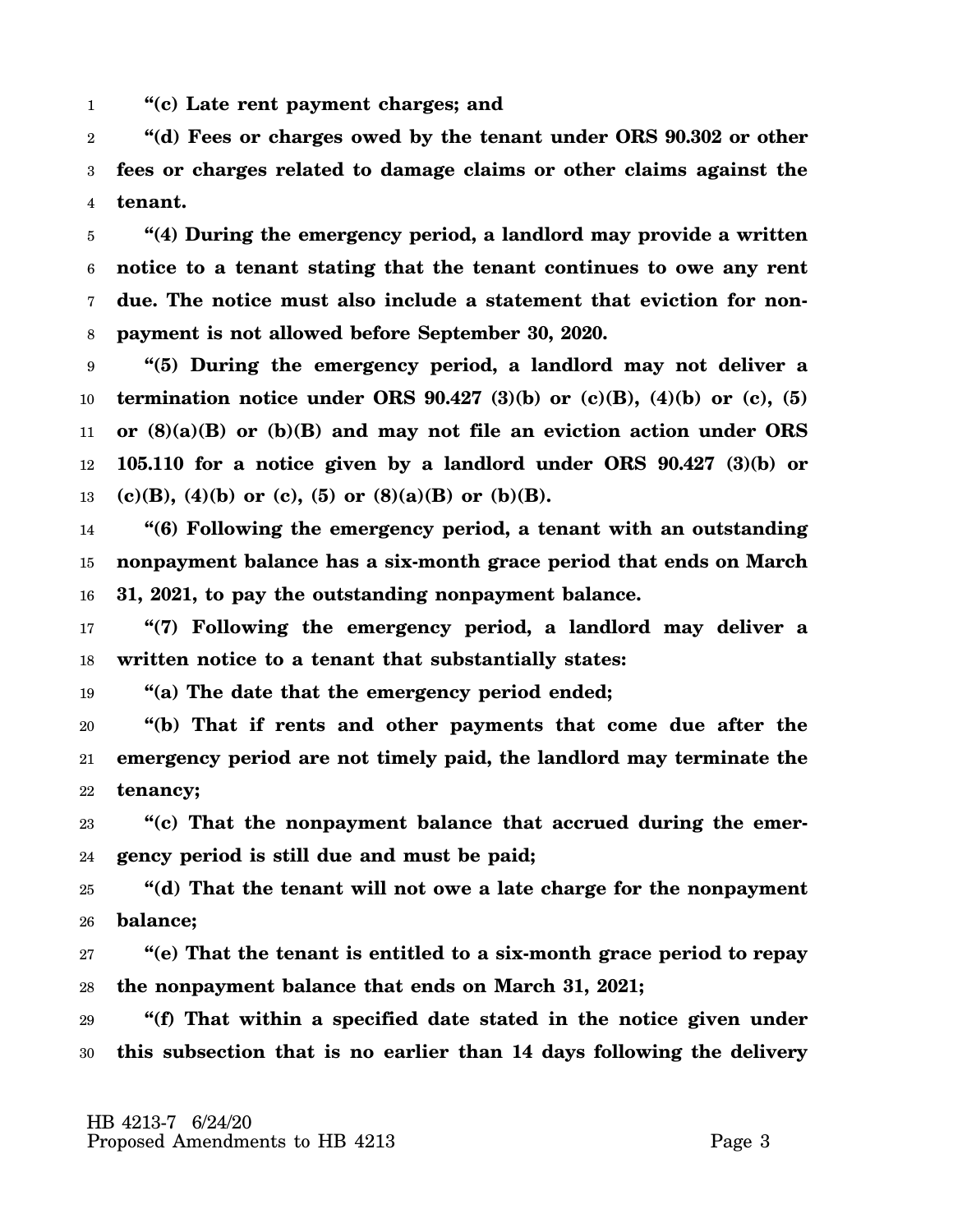1 **"(c) Late rent payment charges; and**

2 3 4 **"(d) Fees or charges owed by the tenant under ORS 90.302 or other fees or charges related to damage claims or other claims against the tenant.**

5 6 7 8 **"(4) During the emergency period, a landlord may provide a written notice to a tenant stating that the tenant continues to owe any rent due. The notice must also include a statement that eviction for nonpayment is not allowed before September 30, 2020.**

9 10 11 12 13 **"(5) During the emergency period, a landlord may not deliver a termination notice under ORS 90.427 (3)(b) or (c)(B), (4)(b) or (c), (5) or (8)(a)(B) or (b)(B) and may not file an eviction action under ORS 105.110 for a notice given by a landlord under ORS 90.427 (3)(b) or**  $(c)(B)$ ,  $(4)(b)$  or  $(c)$ ,  $(5)$  or  $(8)(a)(B)$  or  $(b)(B)$ .

14 15 16 **"(6) Following the emergency period, a tenant with an outstanding nonpayment balance has a six-month grace period that ends on March 31, 2021, to pay the outstanding nonpayment balance.**

17 18 **"(7) Following the emergency period, a landlord may deliver a written notice to a tenant that substantially states:**

19 **"(a) The date that the emergency period ended;**

20 21 22 **"(b) That if rents and other payments that come due after the emergency period are not timely paid, the landlord may terminate the tenancy;**

23 24 **"(c) That the nonpayment balance that accrued during the emergency period is still due and must be paid;**

25 26 **"(d) That the tenant will not owe a late charge for the nonpayment balance;**

27 28 **"(e) That the tenant is entitled to a six-month grace period to repay the nonpayment balance that ends on March 31, 2021;**

29 30 **"(f) That within a specified date stated in the notice given under this subsection that is no earlier than 14 days following the delivery**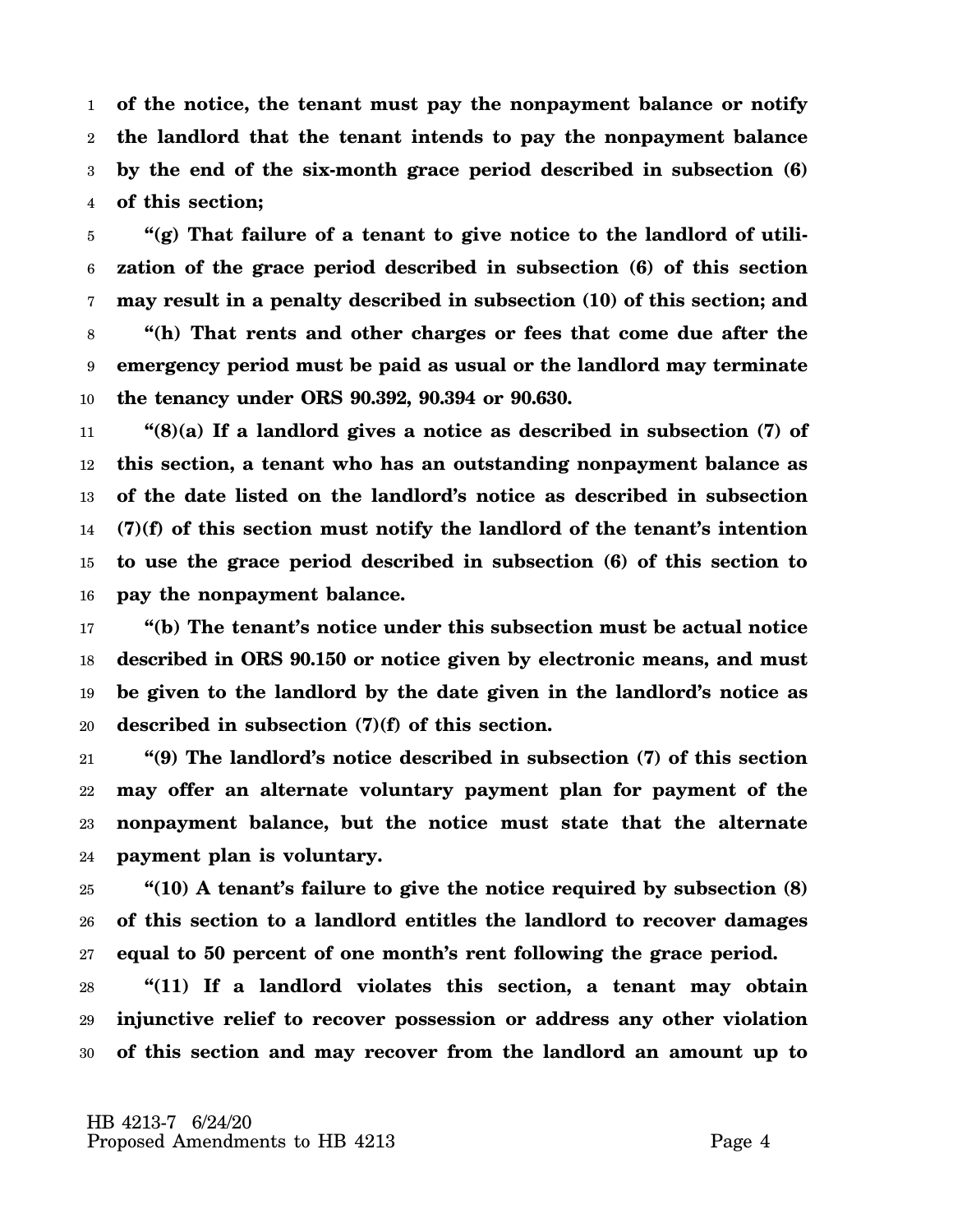1 2 3 4 **of the notice, the tenant must pay the nonpayment balance or notify the landlord that the tenant intends to pay the nonpayment balance by the end of the six-month grace period described in subsection (6) of this section;**

5 6 7 8 9 10 **"(g) That failure of a tenant to give notice to the landlord of utilization of the grace period described in subsection (6) of this section may result in a penalty described in subsection (10) of this section; and "(h) That rents and other charges or fees that come due after the emergency period must be paid as usual or the landlord may terminate the tenancy under ORS 90.392, 90.394 or 90.630.**

11 12 13 14 15 16 **"(8)(a) If a landlord gives a notice as described in subsection (7) of this section, a tenant who has an outstanding nonpayment balance as of the date listed on the landlord's notice as described in subsection (7)(f) of this section must notify the landlord of the tenant's intention to use the grace period described in subsection (6) of this section to pay the nonpayment balance.**

17 18 19 20 **"(b) The tenant's notice under this subsection must be actual notice described in ORS 90.150 or notice given by electronic means, and must be given to the landlord by the date given in the landlord's notice as described in subsection (7)(f) of this section.**

21 22 23 24 **"(9) The landlord's notice described in subsection (7) of this section may offer an alternate voluntary payment plan for payment of the nonpayment balance, but the notice must state that the alternate payment plan is voluntary.**

25 26 27 **"(10) A tenant's failure to give the notice required by subsection (8) of this section to a landlord entitles the landlord to recover damages equal to 50 percent of one month's rent following the grace period.**

28 29 30 **"(11) If a landlord violates this section, a tenant may obtain injunctive relief to recover possession or address any other violation of this section and may recover from the landlord an amount up to**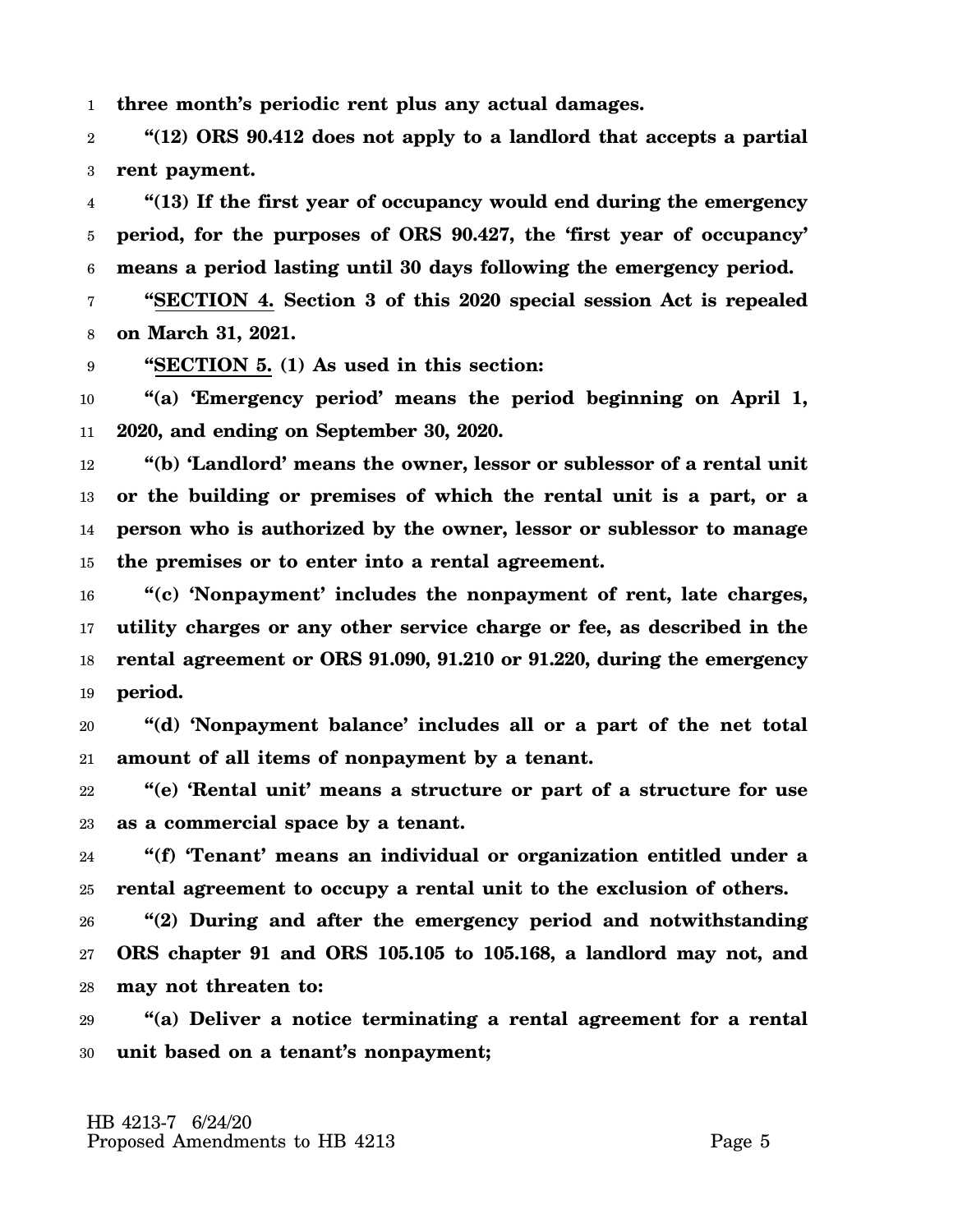1 **three month's periodic rent plus any actual damages.**

2 3 **"(12) ORS 90.412 does not apply to a landlord that accepts a partial rent payment.**

4 5 6 **"(13) If the first year of occupancy would end during the emergency period, for the purposes of ORS 90.427, the 'first year of occupancy' means a period lasting until 30 days following the emergency period.**

7 8 **"SECTION 4. Section 3 of this 2020 special session Act is repealed on March 31, 2021.**

9 **"SECTION 5. (1) As used in this section:**

10 11 **"(a) 'Emergency period' means the period beginning on April 1, 2020, and ending on September 30, 2020.**

12 13 14 15 **"(b) 'Landlord' means the owner, lessor or sublessor of a rental unit or the building or premises of which the rental unit is a part, or a person who is authorized by the owner, lessor or sublessor to manage the premises or to enter into a rental agreement.**

16 17 18 19 **"(c) 'Nonpayment' includes the nonpayment of rent, late charges, utility charges or any other service charge or fee, as described in the rental agreement or ORS 91.090, 91.210 or 91.220, during the emergency period.**

20 21 **"(d) 'Nonpayment balance' includes all or a part of the net total amount of all items of nonpayment by a tenant.**

22 23 **"(e) 'Rental unit' means a structure or part of a structure for use as a commercial space by a tenant.**

24 25 **"(f) 'Tenant' means an individual or organization entitled under a rental agreement to occupy a rental unit to the exclusion of others.**

26 27 28 **"(2) During and after the emergency period and notwithstanding ORS chapter 91 and ORS 105.105 to 105.168, a landlord may not, and may not threaten to:**

29 30 **"(a) Deliver a notice terminating a rental agreement for a rental unit based on a tenant's nonpayment;**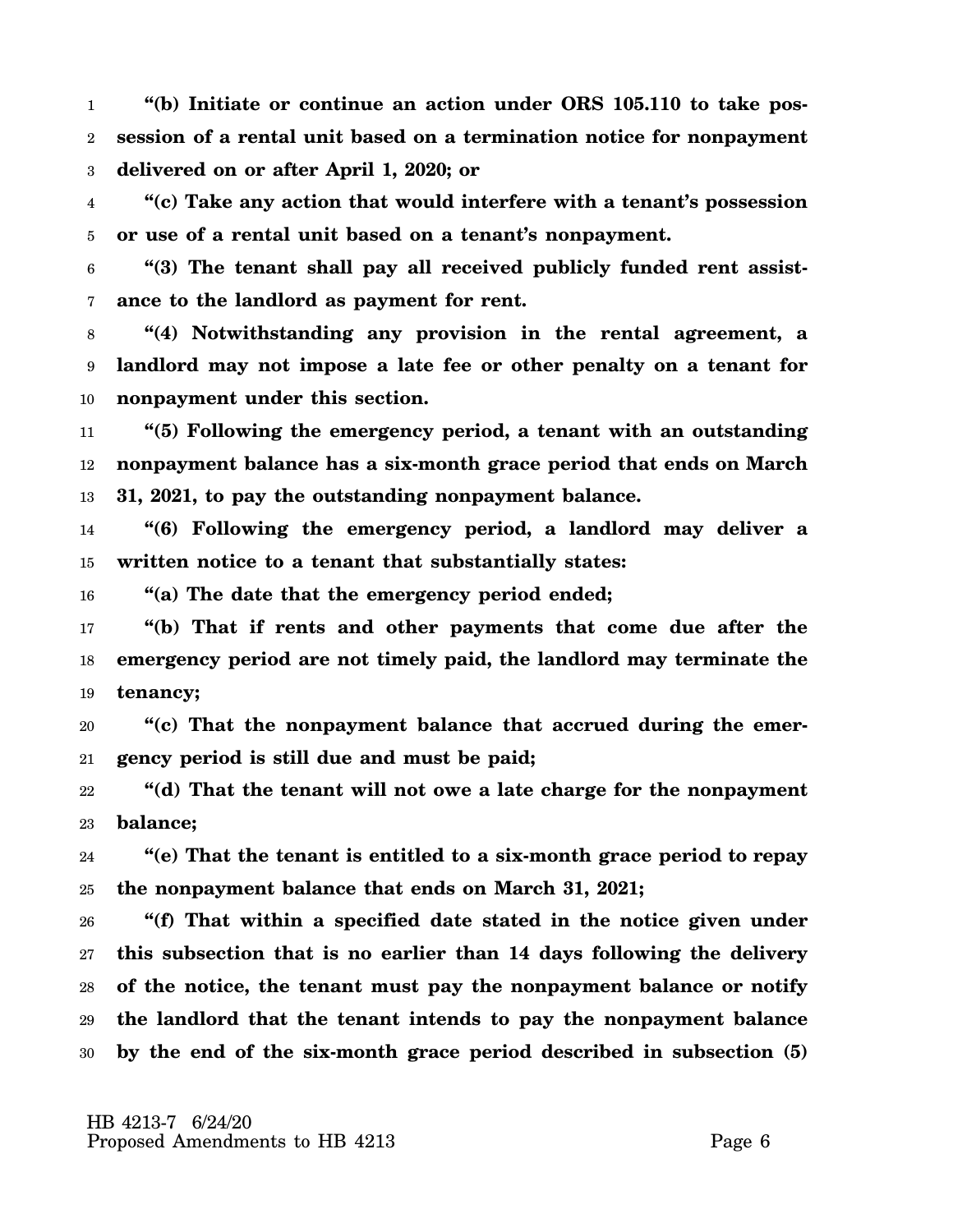1 2 3 **"(b) Initiate or continue an action under ORS 105.110 to take possession of a rental unit based on a termination notice for nonpayment delivered on or after April 1, 2020; or**

4 5 **"(c) Take any action that would interfere with a tenant's possession or use of a rental unit based on a tenant's nonpayment.**

6 7 **"(3) The tenant shall pay all received publicly funded rent assistance to the landlord as payment for rent.**

8 9 10 **"(4) Notwithstanding any provision in the rental agreement, a landlord may not impose a late fee or other penalty on a tenant for nonpayment under this section.**

11 12 13 **"(5) Following the emergency period, a tenant with an outstanding nonpayment balance has a six-month grace period that ends on March 31, 2021, to pay the outstanding nonpayment balance.**

14 15 **"(6) Following the emergency period, a landlord may deliver a written notice to a tenant that substantially states:**

16 **"(a) The date that the emergency period ended;**

17 18 19 **"(b) That if rents and other payments that come due after the emergency period are not timely paid, the landlord may terminate the tenancy;**

20 21 **"(c) That the nonpayment balance that accrued during the emergency period is still due and must be paid;**

22 23 **"(d) That the tenant will not owe a late charge for the nonpayment balance;**

24 25 **"(e) That the tenant is entitled to a six-month grace period to repay the nonpayment balance that ends on March 31, 2021;**

26 27 28 29 30 **"(f) That within a specified date stated in the notice given under this subsection that is no earlier than 14 days following the delivery of the notice, the tenant must pay the nonpayment balance or notify the landlord that the tenant intends to pay the nonpayment balance by the end of the six-month grace period described in subsection (5)**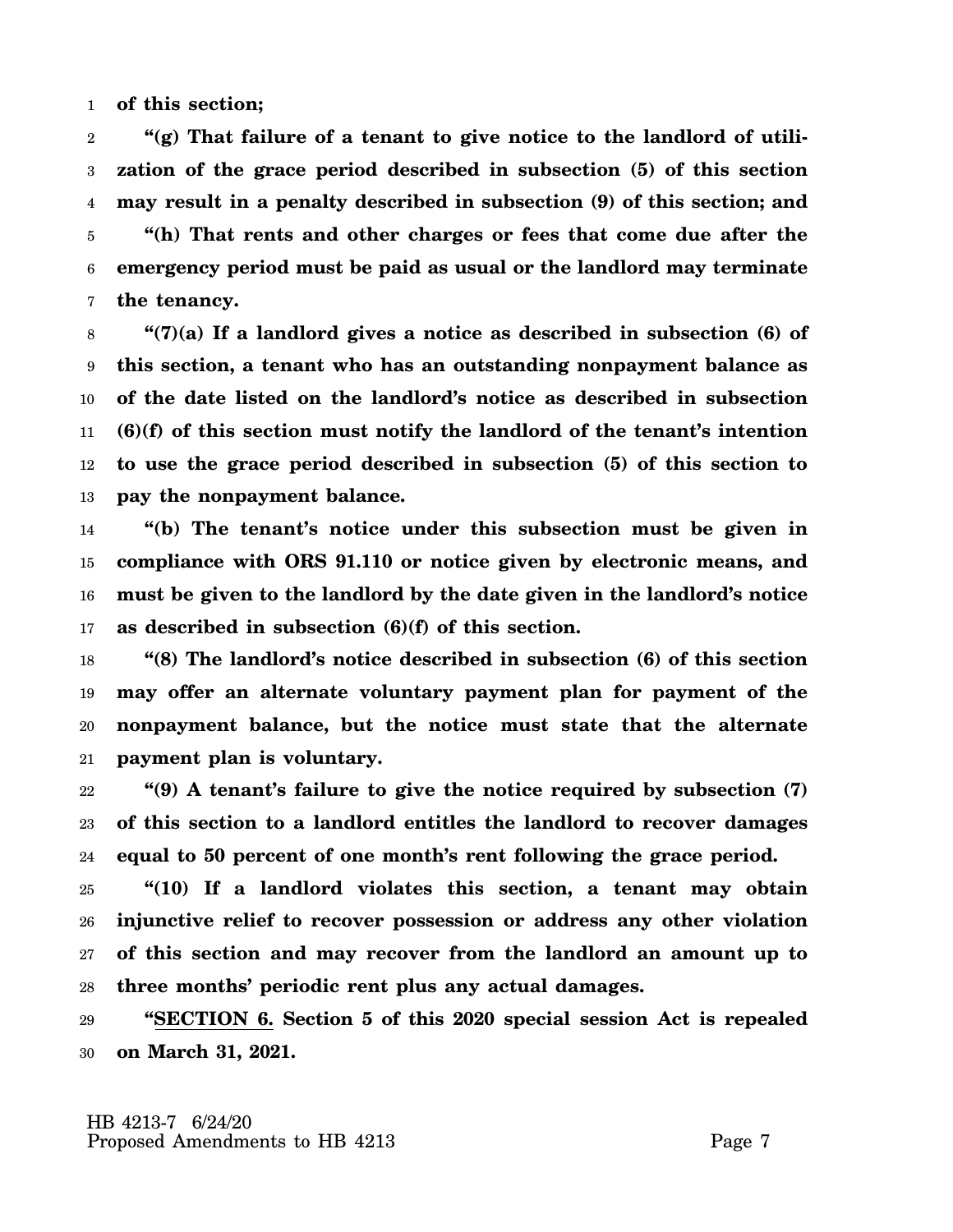1 **of this section;**

2 3 4 5 6 7 **"(g) That failure of a tenant to give notice to the landlord of utilization of the grace period described in subsection (5) of this section may result in a penalty described in subsection (9) of this section; and "(h) That rents and other charges or fees that come due after the emergency period must be paid as usual or the landlord may terminate the tenancy.**

8 9 10 11 12 13 **"(7)(a) If a landlord gives a notice as described in subsection (6) of this section, a tenant who has an outstanding nonpayment balance as of the date listed on the landlord's notice as described in subsection (6)(f) of this section must notify the landlord of the tenant's intention to use the grace period described in subsection (5) of this section to pay the nonpayment balance.**

14 15 16 17 **"(b) The tenant's notice under this subsection must be given in compliance with ORS 91.110 or notice given by electronic means, and must be given to the landlord by the date given in the landlord's notice as described in subsection (6)(f) of this section.**

18 19 20 21 **"(8) The landlord's notice described in subsection (6) of this section may offer an alternate voluntary payment plan for payment of the nonpayment balance, but the notice must state that the alternate payment plan is voluntary.**

22 23 24 **"(9) A tenant's failure to give the notice required by subsection (7) of this section to a landlord entitles the landlord to recover damages equal to 50 percent of one month's rent following the grace period.**

25 26 27 28 **"(10) If a landlord violates this section, a tenant may obtain injunctive relief to recover possession or address any other violation of this section and may recover from the landlord an amount up to three months' periodic rent plus any actual damages.**

29 30 **"SECTION 6. Section 5 of this 2020 special session Act is repealed on March 31, 2021.**